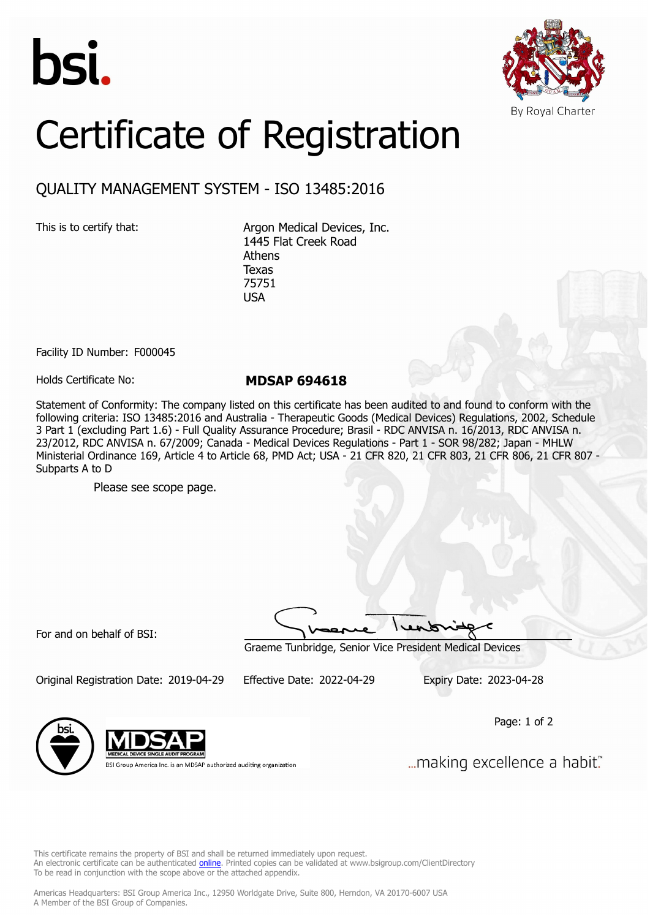



## Certificate of Registration

## QUALITY MANAGEMENT SYSTEM - ISO 13485:2016

This is to certify that: Argon Medical Devices, Inc. 1445 Flat Creek Road Athens Texas 75751 USA

Facility ID Number: F000045

Holds Certificate No: **MDSAP 694618**

Statement of Conformity: The company listed on this certificate has been audited to and found to conform with the following criteria: ISO 13485:2016 and Australia - Therapeutic Goods (Medical Devices) Regulations, 2002, Schedule 3 Part 1 (excluding Part 1.6) - Full Quality Assurance Procedure; Brasil - RDC ANVISA n. 16/2013, RDC ANVISA n. 23/2012, RDC ANVISA n. 67/2009; Canada - Medical Devices Regulations - Part 1 - SOR 98/282; Japan - MHLW Ministerial Ordinance 169, Article 4 to Article 68, PMD Act; USA - 21 CFR 820, 21 CFR 803, 21 CFR 806, 21 CFR 807 - Subparts A to D

Please see scope page.

For and on behalf of BSI:

Graeme Tunbridge, Senior Vice President Medical Devices

Original Registration Date: 2019-04-29 Effective Date: 2022-04-29 Expiry Date: 2023-04-28

Page: 1 of 2



BSI Group America Inc. is an MDSAP authorized auditing organization

... making excellence a habit."

This certificate remains the property of BSI and shall be returned immediately upon request. An electronic certificate can be authenticated *[online](https://pgplus.bsigroup.com/CertificateValidation/CertificateValidator.aspx?CertificateNumber=MDSAP+694618&ReIssueDate=29%2f04%2f2022&Template=inc)*. Printed copies can be validated at www.bsigroup.com/ClientDirectory To be read in conjunction with the scope above or the attached appendix.

Americas Headquarters: BSI Group America Inc., 12950 Worldgate Drive, Suite 800, Herndon, VA 20170-6007 USA A Member of the BSI Group of Companies.